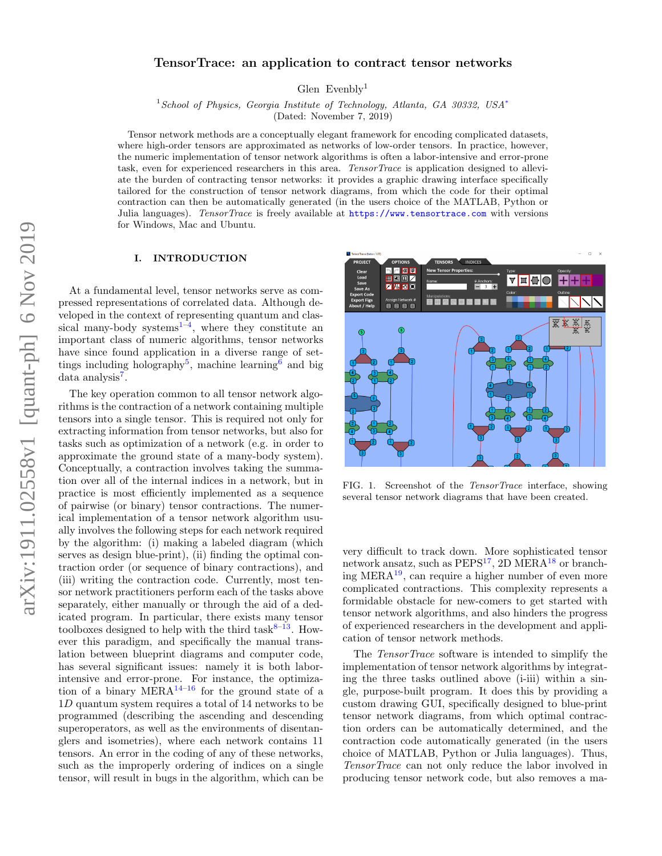# TensorTrace: an application to contract tensor networks

Glen Evenbly<sup>1</sup>

<sup>1</sup> School of Physics, Georgia Institute of Technology, Atlanta, GA 30332, USA<sup>\*</sup>

(Dated: November 7, 2019)

Tensor network methods are a conceptually elegant framework for encoding complicated datasets, where high-order tensors are approximated as networks of low-order tensors. In practice, however, the numeric implementation of tensor network algorithms is often a labor-intensive and error-prone task, even for experienced researchers in this area. TensorTrace is application designed to alleviate the burden of contracting tensor networks: it provides a graphic drawing interface specifically tailored for the construction of tensor network diagrams, from which the code for their optimal contraction can then be automatically generated (in the users choice of the MATLAB, Python or Julia languages). TensorTrace is freely available at <https://www.tensortrace.com> with versions for Windows, Mac and Ubuntu.

### I. INTRODUCTION

At a fundamental level, tensor networks serve as compressed representations of correlated data. Although developed in the context of representing quantum and classical many-body systems $^{1-4}$  $^{1-4}$  $^{1-4}$ , where they constitute an important class of numeric algorithms, tensor networks have since found application in a diverse range of set-tings including holography<sup>[5](#page-4-3)</sup>, machine learning<sup>[6](#page-4-4)</sup> and big data analysis<sup>[7](#page-4-5)</sup>.

The key operation common to all tensor network algorithms is the contraction of a network containing multiple tensors into a single tensor. This is required not only for extracting information from tensor networks, but also for tasks such as optimization of a network (e.g. in order to approximate the ground state of a many-body system). Conceptually, a contraction involves taking the summation over all of the internal indices in a network, but in practice is most efficiently implemented as a sequence of pairwise (or binary) tensor contractions. The numerical implementation of a tensor network algorithm usually involves the following steps for each network required by the algorithm: (i) making a labeled diagram (which serves as design blue-print), (ii) finding the optimal contraction order (or sequence of binary contractions), and (iii) writing the contraction code. Currently, most tensor network practitioners perform each of the tasks above separately, either manually or through the aid of a dedicated program. In particular, there exists many tensor toolboxes designed to help with the third task $8-13$  $8-13$ . However this paradigm, and specifically the manual translation between blueprint diagrams and computer code, has several significant issues: namely it is both laborintensive and error-prone. For instance, the optimiza-tion of a binary MERA<sup>[14–](#page-4-8)[16](#page-4-9)</sup> for the ground state of a 1D quantum system requires a total of 14 networks to be programmed (describing the ascending and descending superoperators, as well as the environments of disentanglers and isometries), where each network contains 11 tensors. An error in the coding of any of these networks, such as the improperly ordering of indices on a single tensor, will result in bugs in the algorithm, which can be



FIG. 1. Screenshot of the TensorTrace interface, showing several tensor network diagrams that have been created.

very difficult to track down. More sophisticated tensor network ansatz, such as  $PEPS<sup>17</sup>$  $PEPS<sup>17</sup>$  $PEPS<sup>17</sup>$ , 2D MERA<sup>[18](#page-4-11)</sup> or branching MER $A<sup>19</sup>$  $A<sup>19</sup>$  $A<sup>19</sup>$ , can require a higher number of even more complicated contractions. This complexity represents a formidable obstacle for new-comers to get started with tensor network algorithms, and also hinders the progress of experienced researchers in the development and application of tensor network methods.

The TensorTrace software is intended to simplify the implementation of tensor network algorithms by integrating the three tasks outlined above (i-iii) within a single, purpose-built program. It does this by providing a custom drawing GUI, specifically designed to blue-print tensor network diagrams, from which optimal contraction orders can be automatically determined, and the contraction code automatically generated (in the users choice of MATLAB, Python or Julia languages). Thus, TensorTrace can not only reduce the labor involved in producing tensor network code, but also removes a ma-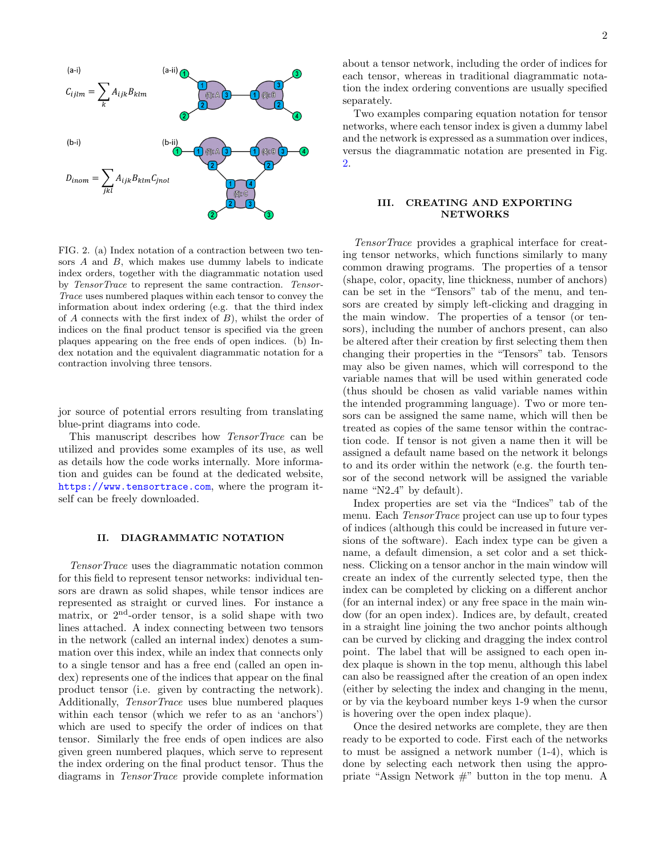

<span id="page-1-0"></span>FIG. 2. (a) Index notation of a contraction between two tensors  $A$  and  $B$ , which makes use dummy labels to indicate index orders, together with the diagrammatic notation used by TensorTrace to represent the same contraction. Tensor-Trace uses numbered plaques within each tensor to convey the information about index ordering (e.g. that the third index of  $A$  connects with the first index of  $B$ ), whilst the order of indices on the final product tensor is specified via the green plaques appearing on the free ends of open indices. (b) Index notation and the equivalent diagrammatic notation for a contraction involving three tensors.

jor source of potential errors resulting from translating blue-print diagrams into code.

This manuscript describes how TensorTrace can be utilized and provides some examples of its use, as well as details how the code works internally. More information and guides can be found at the dedicated website, <https://www.tensortrace.com>, where the program itself can be freely downloaded.

#### II. DIAGRAMMATIC NOTATION

TensorTrace uses the diagrammatic notation common for this field to represent tensor networks: individual tensors are drawn as solid shapes, while tensor indices are represented as straight or curved lines. For instance a matrix, or  $2<sup>nd</sup>$ -order tensor, is a solid shape with two lines attached. A index connecting between two tensors in the network (called an internal index) denotes a summation over this index, while an index that connects only to a single tensor and has a free end (called an open index) represents one of the indices that appear on the final product tensor (i.e. given by contracting the network). Additionally, TensorTrace uses blue numbered plaques within each tensor (which we refer to as an 'anchors') which are used to specify the order of indices on that tensor. Similarly the free ends of open indices are also given green numbered plaques, which serve to represent the index ordering on the final product tensor. Thus the diagrams in TensorTrace provide complete information

about a tensor network, including the order of indices for each tensor, whereas in traditional diagrammatic notation the index ordering conventions are usually specified separately.

Two examples comparing equation notation for tensor networks, where each tensor index is given a dummy label and the network is expressed as a summation over indices, versus the diagrammatic notation are presented in Fig. [2.](#page-1-0)

### III. CREATING AND EXPORTING **NETWORKS**

TensorTrace provides a graphical interface for creating tensor networks, which functions similarly to many common drawing programs. The properties of a tensor (shape, color, opacity, line thickness, number of anchors) can be set in the "Tensors" tab of the menu, and tensors are created by simply left-clicking and dragging in the main window. The properties of a tensor (or tensors), including the number of anchors present, can also be altered after their creation by first selecting them then changing their properties in the "Tensors" tab. Tensors may also be given names, which will correspond to the variable names that will be used within generated code (thus should be chosen as valid variable names within the intended programming language). Two or more tensors can be assigned the same name, which will then be treated as copies of the same tensor within the contraction code. If tensor is not given a name then it will be assigned a default name based on the network it belongs to and its order within the network (e.g. the fourth tensor of the second network will be assigned the variable name "N2<sub>4</sub>" by default).

Index properties are set via the "Indices" tab of the menu. Each TensorTrace project can use up to four types of indices (although this could be increased in future versions of the software). Each index type can be given a name, a default dimension, a set color and a set thickness. Clicking on a tensor anchor in the main window will create an index of the currently selected type, then the index can be completed by clicking on a different anchor (for an internal index) or any free space in the main window (for an open index). Indices are, by default, created in a straight line joining the two anchor points although can be curved by clicking and dragging the index control point. The label that will be assigned to each open index plaque is shown in the top menu, although this label can also be reassigned after the creation of an open index (either by selecting the index and changing in the menu, or by via the keyboard number keys 1-9 when the cursor is hovering over the open index plaque).

Once the desired networks are complete, they are then ready to be exported to code. First each of the networks to must be assigned a network number (1-4), which is done by selecting each network then using the appropriate "Assign Network #" button in the top menu. A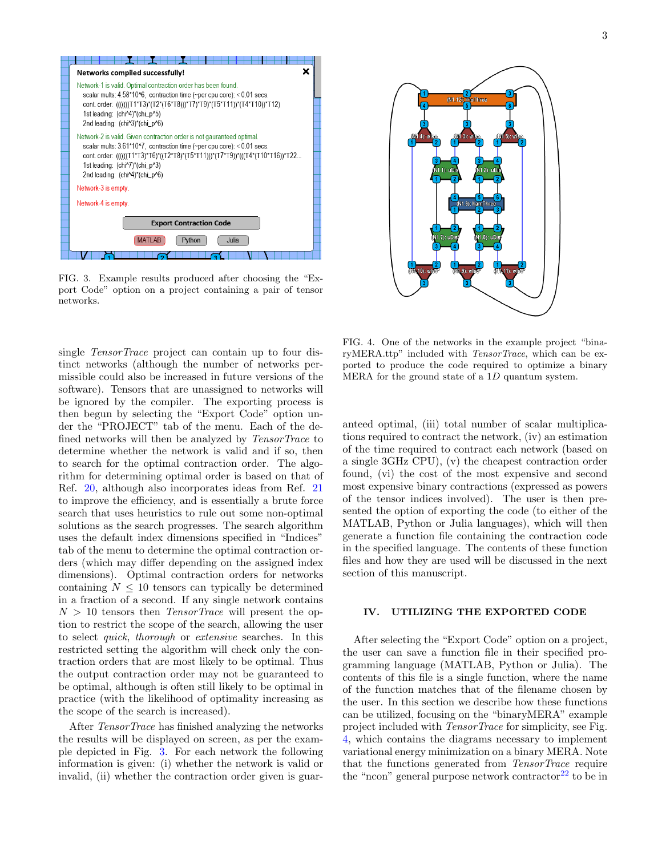

<span id="page-2-0"></span>FIG. 3. Example results produced after choosing the "Export Code" option on a project containing a pair of tensor networks.

single TensorTrace project can contain up to four distinct networks (although the number of networks permissible could also be increased in future versions of the software). Tensors that are unassigned to networks will be ignored by the compiler. The exporting process is then begun by selecting the "Export Code" option under the "PROJECT" tab of the menu. Each of the defined networks will then be analyzed by TensorTrace to determine whether the network is valid and if so, then to search for the optimal contraction order. The algorithm for determining optimal order is based on that of Ref. [20,](#page-4-13) although also incorporates ideas from Ref. [21](#page-4-14) to improve the efficiency, and is essentially a brute force search that uses heuristics to rule out some non-optimal solutions as the search progresses. The search algorithm uses the default index dimensions specified in "Indices" tab of the menu to determine the optimal contraction orders (which may differ depending on the assigned index dimensions). Optimal contraction orders for networks containing  $N \leq 10$  tensors can typically be determined in a fraction of a second. If any single network contains  $N > 10$  tensors then *TensorTrace* will present the option to restrict the scope of the search, allowing the user to select quick, thorough or extensive searches. In this restricted setting the algorithm will check only the contraction orders that are most likely to be optimal. Thus the output contraction order may not be guaranteed to be optimal, although is often still likely to be optimal in practice (with the likelihood of optimality increasing as the scope of the search is increased).

After TensorTrace has finished analyzing the networks the results will be displayed on screen, as per the example depicted in Fig. [3.](#page-2-0) For each network the following information is given: (i) whether the network is valid or invalid, (ii) whether the contraction order given is guar-



<span id="page-2-1"></span>FIG. 4. One of the networks in the example project "binaryMERA.ttp" included with TensorTrace, which can be exported to produce the code required to optimize a binary MERA for the ground state of a 1D quantum system.

anteed optimal, (iii) total number of scalar multiplications required to contract the network, (iv) an estimation of the time required to contract each network (based on a single 3GHz CPU), (v) the cheapest contraction order found, (vi) the cost of the most expensive and second most expensive binary contractions (expressed as powers of the tensor indices involved). The user is then presented the option of exporting the code (to either of the MATLAB, Python or Julia languages), which will then generate a function file containing the contraction code in the specified language. The contents of these function files and how they are used will be discussed in the next section of this manuscript.

# IV. UTILIZING THE EXPORTED CODE

After selecting the "Export Code" option on a project, the user can save a function file in their specified programming language (MATLAB, Python or Julia). The contents of this file is a single function, where the name of the function matches that of the filename chosen by the user. In this section we describe how these functions can be utilized, focusing on the "binaryMERA" example project included with TensorTrace for simplicity, see Fig. [4,](#page-2-1) which contains the diagrams necessary to implement variational energy minimization on a binary MERA. Note that the functions generated from TensorTrace require the "ncon" general purpose network contractor<sup>[22](#page-4-15)</sup> to be in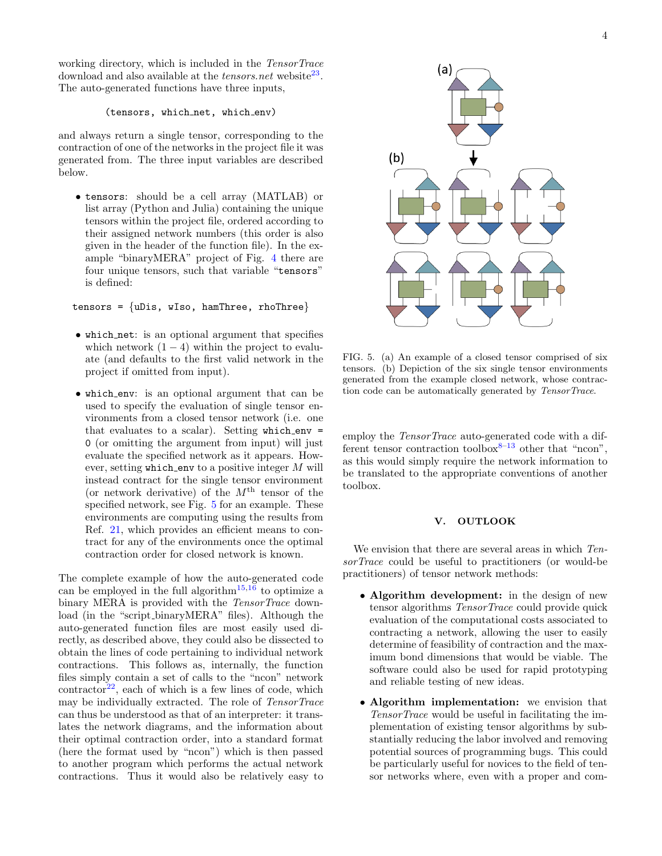working directory, which is included in the TensorTrace download and also available at the *tensors.net* website<sup>[23](#page-4-16)</sup>. The auto-generated functions have three inputs,

## (tensors, which\_net, which\_env)

and always return a single tensor, corresponding to the contraction of one of the networks in the project file it was generated from. The three input variables are described below.

• tensors: should be a cell array (MATLAB) or list array (Python and Julia) containing the unique tensors within the project file, ordered according to their assigned network numbers (this order is also given in the header of the function file). In the example "binaryMERA" project of Fig. [4](#page-2-1) there are four unique tensors, such that variable "tensors" is defined:

tensors =  $\{$ uDis, wIso, hamThree, rhoThree $\}$ 

- which net: is an optional argument that specifies which network  $(1 - 4)$  within the project to evaluate (and defaults to the first valid network in the project if omitted from input).
- which env: is an optional argument that can be used to specify the evaluation of single tensor environments from a closed tensor network (i.e. one that evaluates to a scalar). Setting  $which$  = 0 (or omitting the argument from input) will just evaluate the specified network as it appears. However, setting which env to a positive integer  $M$  will instead contract for the single tensor environment (or network derivative) of the  $M<sup>th</sup>$  tensor of the specified network, see Fig. [5](#page-3-0) for an example. These environments are computing using the results from Ref. [21,](#page-4-14) which provides an efficient means to contract for any of the environments once the optimal contraction order for closed network is known.

The complete example of how the auto-generated code can be employed in the full algorithm<sup>[15](#page-4-17)[,16](#page-4-9)</sup> to optimize a binary MERA is provided with the TensorTrace download (in the "script binaryMERA" files). Although the auto-generated function files are most easily used directly, as described above, they could also be dissected to obtain the lines of code pertaining to individual network contractions. This follows as, internally, the function files simply contain a set of calls to the "ncon" network  $contractor<sup>22</sup>$  $contractor<sup>22</sup>$  $contractor<sup>22</sup>$ , each of which is a few lines of code, which may be individually extracted. The role of TensorTrace can thus be understood as that of an interpreter: it translates the network diagrams, and the information about their optimal contraction order, into a standard format (here the format used by "ncon") which is then passed to another program which performs the actual network contractions. Thus it would also be relatively easy to



<span id="page-3-0"></span>FIG. 5. (a) An example of a closed tensor comprised of six tensors. (b) Depiction of the six single tensor environments generated from the example closed network, whose contraction code can be automatically generated by TensorTrace.

employ the *TensorTrace* auto-generated code with a different tensor contraction toolbox $8-13$  $8-13$  other that "ncon", as this would simply require the network information to be translated to the appropriate conventions of another toolbox.

#### V. OUTLOOK

We envision that there are several areas in which TensorTrace could be useful to practitioners (or would-be practitioners) of tensor network methods:

- Algorithm development: in the design of new tensor algorithms TensorTrace could provide quick evaluation of the computational costs associated to contracting a network, allowing the user to easily determine of feasibility of contraction and the maximum bond dimensions that would be viable. The software could also be used for rapid prototyping and reliable testing of new ideas.
- Algorithm implementation: we envision that TensorTrace would be useful in facilitating the implementation of existing tensor algorithms by substantially reducing the labor involved and removing potential sources of programming bugs. This could be particularly useful for novices to the field of tensor networks where, even with a proper and com-